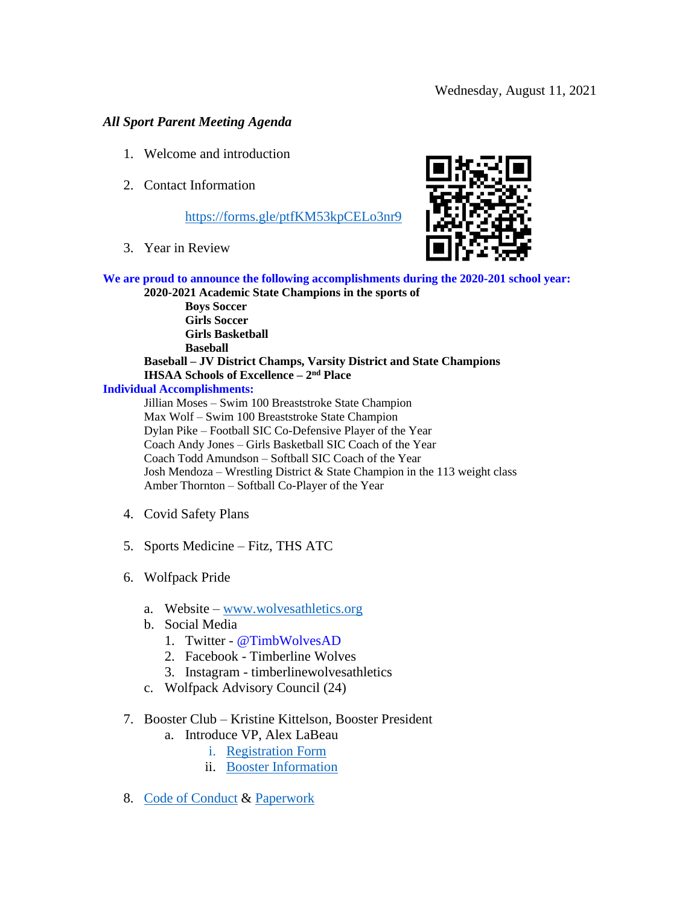# *All Sport Parent Meeting Agenda*

- 1. Welcome and introduction
- 2. Contact Information

# <https://forms.gle/ptfKM53kpCELo3nr9>

3. Year in Review



**We are proud to announce the following accomplishments during the 2020-201 school year: 2020-2021 Academic State Champions in the sports of** 

**Boys Soccer Girls Soccer Girls Basketball Baseball Baseball – JV District Champs, Varsity District and State Champions IHSAA Schools of Excellence – 2 nd Place**

## **Individual Accomplishments:**

Jillian Moses – Swim 100 Breaststroke State Champion Max Wolf – Swim 100 Breaststroke State Champion Dylan Pike – Football SIC Co-Defensive Player of the Year Coach Andy Jones – Girls Basketball SIC Coach of the Year Coach Todd Amundson – Softball SIC Coach of the Year Josh Mendoza – Wrestling District & State Champion in the 113 weight class Amber Thornton – Softball Co-Player of the Year

- 4. Covid Safety Plans
- 5. Sports Medicine Fitz, THS ATC
- 6. Wolfpack Pride
	- a. Website [www.wolvesathletics.org](http://www.wolvesathletics.org/)
	- b. Social Media
		- 1. [Twitter](https://twitter.com/TimbWolvesAD) @TimbWolvesAD
		- 2. Facebook Timberline Wolves
		- 3. Instagram timberlinewolvesathletics
	- c. Wolfpack Advisory Council (24)

# 7. Booster Club – Kristine Kittelson, Booster President

- a. Introduce VP, Alex LaBeau
	- i. [Registration Form](https://wolvesathletics.org/main/bfiles)
	- ii. [Booster Information](https://wolvesathletics.org/main/bfiles)
- 8. [Code of Conduct](https://wolvesathletics.org/library/files/timberlinehighschool_bigteams_12678/files/Code%20of%20Conduct.pdf) & [Paperwork](https://wolvesathletics.org/main/adnews/ID/40208135)